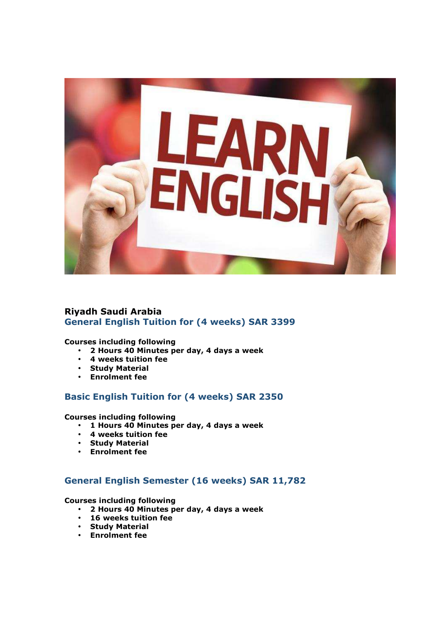

# **Riyadh Saudi Arabia General English Tuition for (4 weeks) SAR 3399**

#### **Courses including following**

- **2 Hours 40 Minutes per day, 4 days a week**
- **4 weeks tuition fee**
- **Study Material**
- **Enrolment fee**

### **Basic English Tuition for (4 weeks) SAR 2350**

**Courses including following** 

- **1 Hours 40 Minutes per day, 4 days a week**
- **4 weeks tuition fee**
- **Study Material**
- **Enrolment fee**

## **General English Semester (16 weeks) SAR 11,782**

**Courses including following** 

- **2 Hours 40 Minutes per day, 4 days a week**
- **16 weeks tuition fee**
- **Study Material**
- **Enrolment fee**